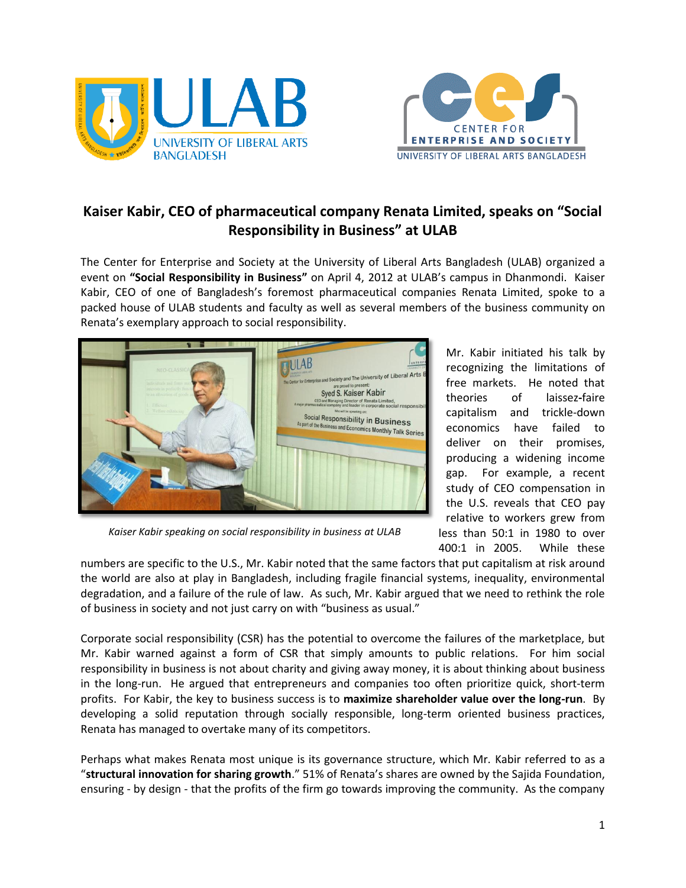



## **Kaiser Kabir, CEO of pharmaceutical company Renata Limited, speaks on "Social Responsibility in Business" at ULAB**

The Center for Enterprise and Society at the University of Liberal Arts Bangladesh (ULAB) organized a event on **"Social Responsibility in Business"** on April 4, 2012 at ULAB's campus in Dhanmondi. Kaiser Kabir, CEO of one of Bangladesh's foremost pharmaceutical companies Renata Limited, spoke to a packed house of ULAB students and faculty as well as several members of the business community on Renata's exemplary approach to social responsibility.



Mr. Kabir initiated his talk by recognizing the limitations of free markets. He noted that theories of laissez**-**faire capitalism and trickle-down economics have failed to deliver on their promises, producing a widening income gap. For example, a recent study of CEO compensation in the U.S. reveals that CEO pay relative to workers grew from less than 50:1 in 1980 to over 400:1 in 2005. While these

*Kaiser Kabir speaking on social responsibility in business at ULAB*

numbers are specific to the U.S., Mr. Kabir noted that the same factors that put capitalism at risk around the world are also at play in Bangladesh, including fragile financial systems, inequality, environmental degradation, and a failure of the rule of law. As such, Mr. Kabir argued that we need to rethink the role of business in society and not just carry on with "business as usual."

Corporate social responsibility (CSR) has the potential to overcome the failures of the marketplace, but Mr. Kabir warned against a form of CSR that simply amounts to public relations. For him social responsibility in business is not about charity and giving away money, it is about thinking about business in the long-run. He argued that entrepreneurs and companies too often prioritize quick, short-term profits. For Kabir, the key to business success is to **maximize shareholder value over the long-run**. By developing a solid reputation through socially responsible, long-term oriented business practices, Renata has managed to overtake many of its competitors.

Perhaps what makes Renata most unique is its governance structure, which Mr. Kabir referred to as a "**structural innovation for sharing growth**." 51% of Renata's shares are owned by the Sajida Foundation, ensuring - by design - that the profits of the firm go towards improving the community. As the company